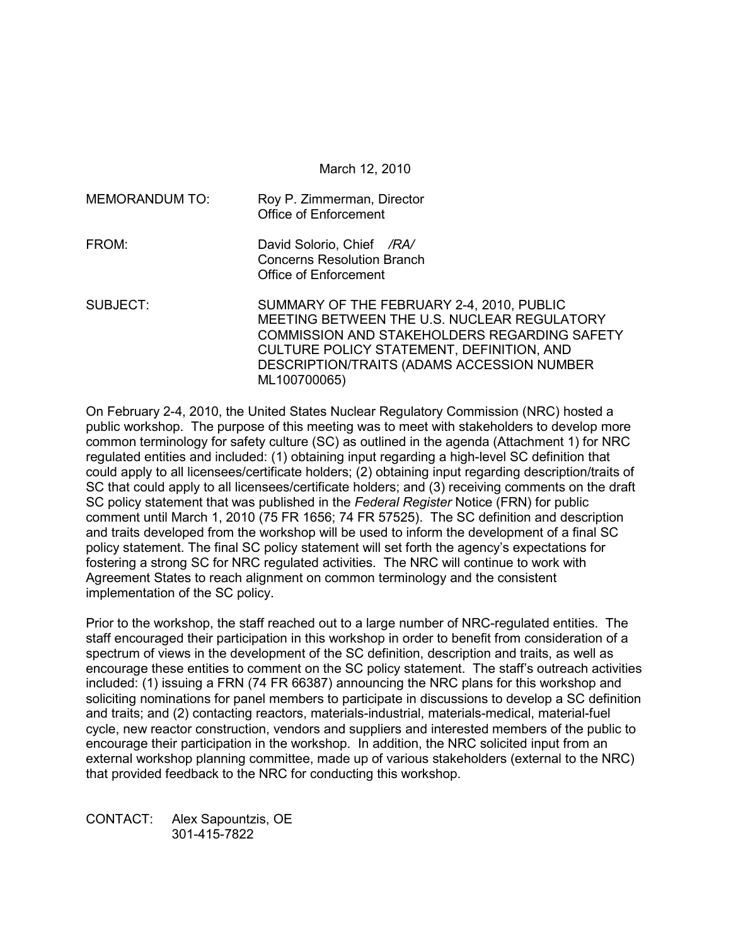March 12, 2010

| MEMORANDUM TO: | Roy P. Zimmerman, Director<br><b>Office of Enforcement</b>                                                                                                                                                                                          |
|----------------|-----------------------------------------------------------------------------------------------------------------------------------------------------------------------------------------------------------------------------------------------------|
| FROM:          | David Solorio, Chief /RA/<br><b>Concerns Resolution Branch</b><br>Office of Enforcement                                                                                                                                                             |
| SUBJECT:       | SUMMARY OF THE FEBRUARY 2-4, 2010, PUBLIC<br>MEETING BETWEEN THE U.S. NUCLEAR REGULATORY<br>COMMISSION AND STAKEHOLDERS REGARDING SAFETY<br>CULTURE POLICY STATEMENT, DEFINITION, AND<br>DESCRIPTION/TRAITS (ADAMS ACCESSION NUMBER<br>ML100700065) |

On February 2-4, 2010, the United States Nuclear Regulatory Commission (NRC) hosted a public workshop. The purpose of this meeting was to meet with stakeholders to develop more common terminology for safety culture (SC) as outlined in the agenda (Attachment 1) for NRC regulated entities and included: (1) obtaining input regarding a high-level SC definition that could apply to all licensees/certificate holders; (2) obtaining input regarding description/traits of SC that could apply to all licensees/certificate holders; and (3) receiving comments on the draft SC policy statement that was published in the *Federal Register* Notice (FRN) for public comment until March 1, 2010 (75 FR 1656; 74 FR 57525). The SC definition and description and traits developed from the workshop will be used to inform the development of a final SC policy statement. The final SC policy statement will set forth the agency's expectations for fostering a strong SC for NRC regulated activities. The NRC will continue to work with Agreement States to reach alignment on common terminology and the consistent implementation of the SC policy.

Prior to the workshop, the staff reached out to a large number of NRC-regulated entities. The staff encouraged their participation in this workshop in order to benefit from consideration of a spectrum of views in the development of the SC definition, description and traits, as well as encourage these entities to comment on the SC policy statement. The staff's outreach activities included: (1) issuing a FRN (74 FR 66387) announcing the NRC plans for this workshop and soliciting nominations for panel members to participate in discussions to develop a SC definition and traits; and (2) contacting reactors, materials-industrial, materials-medical, material-fuel cycle, new reactor construction, vendors and suppliers and interested members of the public to encourage their participation in the workshop. In addition, the NRC solicited input from an external workshop planning committee, made up of various stakeholders (external to the NRC) that provided feedback to the NRC for conducting this workshop.

CONTACT: Alex Sapountzis, OE 301-415-7822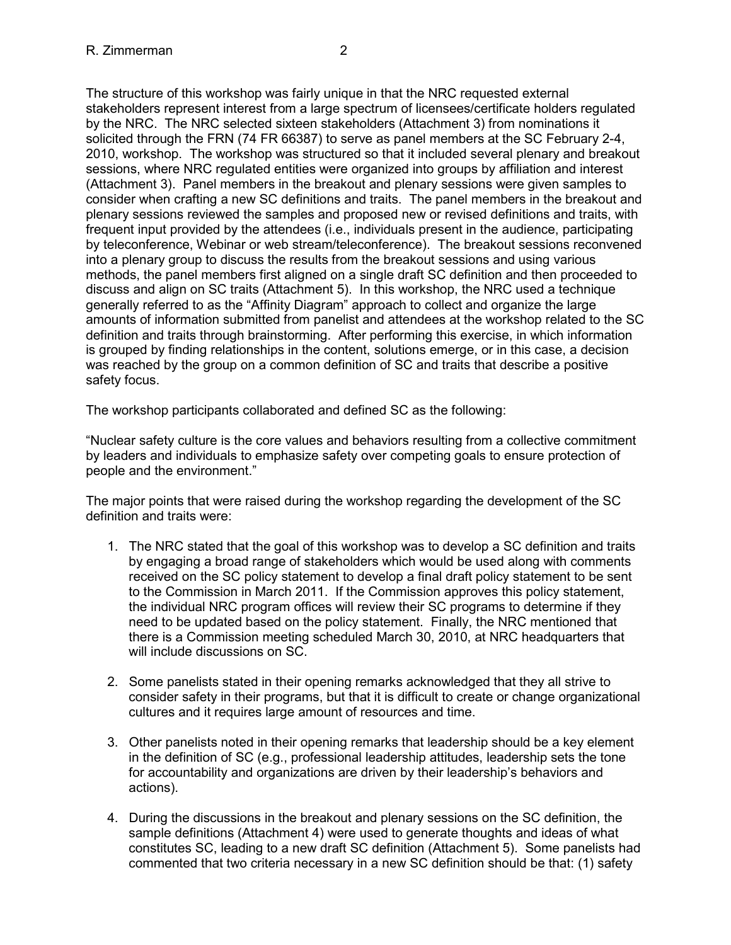The structure of this workshop was fairly unique in that the NRC requested external stakeholders represent interest from a large spectrum of licensees/certificate holders regulated by the NRC. The NRC selected sixteen stakeholders (Attachment 3) from nominations it solicited through the FRN (74 FR 66387) to serve as panel members at the SC February 2-4, 2010, workshop. The workshop was structured so that it included several plenary and breakout sessions, where NRC regulated entities were organized into groups by affiliation and interest (Attachment 3). Panel members in the breakout and plenary sessions were given samples to consider when crafting a new SC definitions and traits. The panel members in the breakout and plenary sessions reviewed the samples and proposed new or revised definitions and traits, with frequent input provided by the attendees (i.e., individuals present in the audience, participating by teleconference, Webinar or web stream/teleconference). The breakout sessions reconvened into a plenary group to discuss the results from the breakout sessions and using various methods, the panel members first aligned on a single draft SC definition and then proceeded to discuss and align on SC traits (Attachment 5). In this workshop, the NRC used a technique generally referred to as the "Affinity Diagram" approach to collect and organize the large amounts of information submitted from panelist and attendees at the workshop related to the SC definition and traits through brainstorming. After performing this exercise, in which information is grouped by finding relationships in the content, solutions emerge, or in this case, a decision was reached by the group on a common definition of SC and traits that describe a positive safety focus.

The workshop participants collaborated and defined SC as the following:

"Nuclear safety culture is the core values and behaviors resulting from a collective commitment by leaders and individuals to emphasize safety over competing goals to ensure protection of people and the environment."

The major points that were raised during the workshop regarding the development of the SC definition and traits were:

- 1. The NRC stated that the goal of this workshop was to develop a SC definition and traits by engaging a broad range of stakeholders which would be used along with comments received on the SC policy statement to develop a final draft policy statement to be sent to the Commission in March 2011. If the Commission approves this policy statement, the individual NRC program offices will review their SC programs to determine if they need to be updated based on the policy statement. Finally, the NRC mentioned that there is a Commission meeting scheduled March 30, 2010, at NRC headquarters that will include discussions on SC.
- 2. Some panelists stated in their opening remarks acknowledged that they all strive to consider safety in their programs, but that it is difficult to create or change organizational cultures and it requires large amount of resources and time.
- 3. Other panelists noted in their opening remarks that leadership should be a key element in the definition of SC (e.g., professional leadership attitudes, leadership sets the tone for accountability and organizations are driven by their leadership's behaviors and actions).
- 4. During the discussions in the breakout and plenary sessions on the SC definition, the sample definitions (Attachment 4) were used to generate thoughts and ideas of what constitutes SC, leading to a new draft SC definition (Attachment 5). Some panelists had commented that two criteria necessary in a new SC definition should be that: (1) safety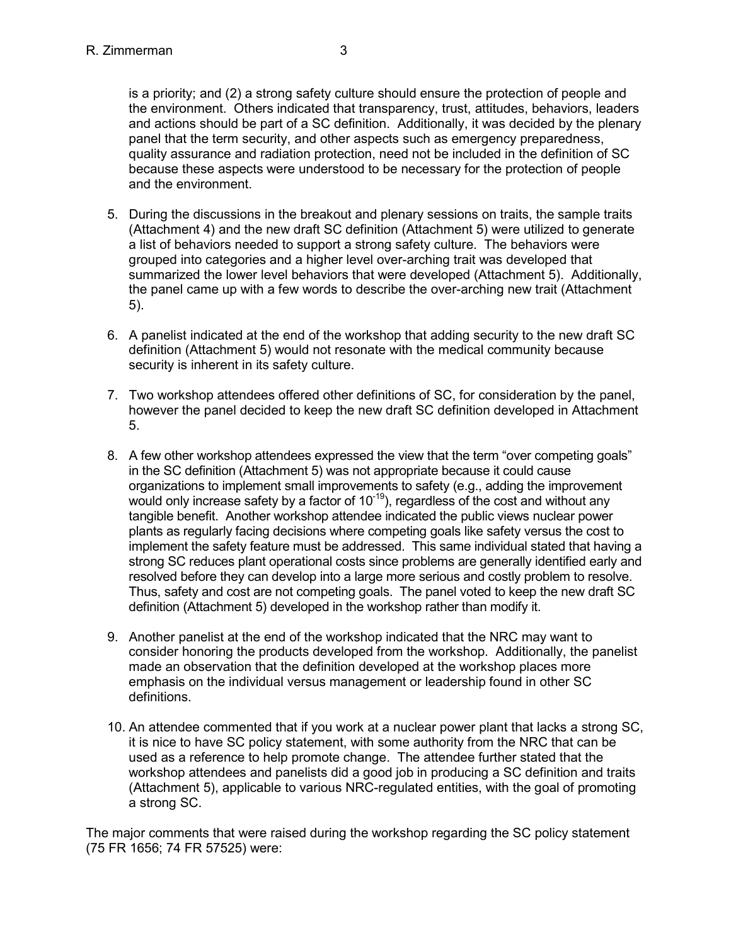is a priority; and (2) a strong safety culture should ensure the protection of people and the environment. Others indicated that transparency, trust, attitudes, behaviors, leaders and actions should be part of a SC definition. Additionally, it was decided by the plenary panel that the term security, and other aspects such as emergency preparedness, quality assurance and radiation protection, need not be included in the definition of SC because these aspects were understood to be necessary for the protection of people and the environment.

- 5. During the discussions in the breakout and plenary sessions on traits, the sample traits (Attachment 4) and the new draft SC definition (Attachment 5) were utilized to generate a list of behaviors needed to support a strong safety culture. The behaviors were grouped into categories and a higher level over-arching trait was developed that summarized the lower level behaviors that were developed (Attachment 5). Additionally, the panel came up with a few words to describe the over-arching new trait (Attachment 5).
- 6. A panelist indicated at the end of the workshop that adding security to the new draft SC definition (Attachment 5) would not resonate with the medical community because security is inherent in its safety culture.
- 7. Two workshop attendees offered other definitions of SC, for consideration by the panel, however the panel decided to keep the new draft SC definition developed in Attachment 5.
- 8. A few other workshop attendees expressed the view that the term "over competing goals" in the SC definition (Attachment 5) was not appropriate because it could cause organizations to implement small improvements to safety (e.g., adding the improvement would only increase safety by a factor of  $10^{-19}$ ), regardless of the cost and without any tangible benefit. Another workshop attendee indicated the public views nuclear power plants as regularly facing decisions where competing goals like safety versus the cost to implement the safety feature must be addressed. This same individual stated that having a strong SC reduces plant operational costs since problems are generally identified early and resolved before they can develop into a large more serious and costly problem to resolve. Thus, safety and cost are not competing goals. The panel voted to keep the new draft SC definition (Attachment 5) developed in the workshop rather than modify it.
- 9. Another panelist at the end of the workshop indicated that the NRC may want to consider honoring the products developed from the workshop. Additionally, the panelist made an observation that the definition developed at the workshop places more emphasis on the individual versus management or leadership found in other SC definitions.
- 10. An attendee commented that if you work at a nuclear power plant that lacks a strong SC, it is nice to have SC policy statement, with some authority from the NRC that can be used as a reference to help promote change. The attendee further stated that the workshop attendees and panelists did a good job in producing a SC definition and traits (Attachment 5), applicable to various NRC-regulated entities, with the goal of promoting a strong SC.

The major comments that were raised during the workshop regarding the SC policy statement (75 FR 1656; 74 FR 57525) were: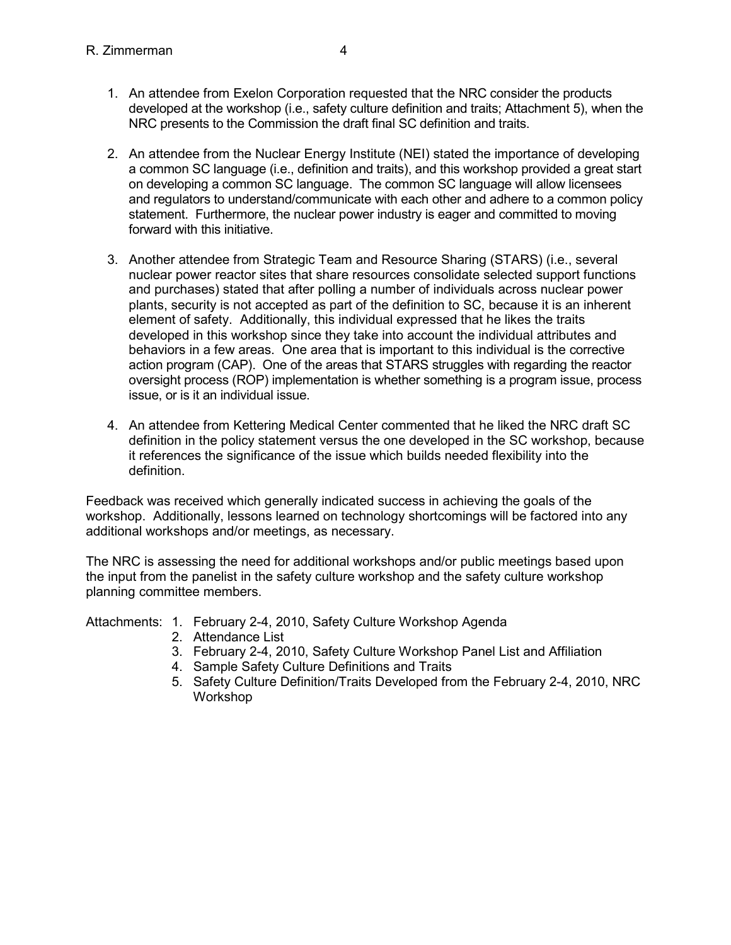- 1. An attendee from Exelon Corporation requested that the NRC consider the products developed at the workshop (i.e., safety culture definition and traits; Attachment 5), when the NRC presents to the Commission the draft final SC definition and traits.
- 2. An attendee from the Nuclear Energy Institute (NEI) stated the importance of developing a common SC language (i.e., definition and traits), and this workshop provided a great start on developing a common SC language. The common SC language will allow licensees and regulators to understand/communicate with each other and adhere to a common policy statement. Furthermore, the nuclear power industry is eager and committed to moving forward with this initiative.
- 3. Another attendee from Strategic Team and Resource Sharing (STARS) (i.e., several nuclear power reactor sites that share resources consolidate selected support functions and purchases) stated that after polling a number of individuals across nuclear power plants, security is not accepted as part of the definition to SC, because it is an inherent element of safety. Additionally, this individual expressed that he likes the traits developed in this workshop since they take into account the individual attributes and behaviors in a few areas. One area that is important to this individual is the corrective action program (CAP). One of the areas that STARS struggles with regarding the reactor oversight process (ROP) implementation is whether something is a program issue, process issue, or is it an individual issue.
- 4. An attendee from Kettering Medical Center commented that he liked the NRC draft SC definition in the policy statement versus the one developed in the SC workshop, because it references the significance of the issue which builds needed flexibility into the definition.

Feedback was received which generally indicated success in achieving the goals of the workshop. Additionally, lessons learned on technology shortcomings will be factored into any additional workshops and/or meetings, as necessary.

The NRC is assessing the need for additional workshops and/or public meetings based upon the input from the panelist in the safety culture workshop and the safety culture workshop planning committee members.

Attachments: 1. February 2-4, 2010, Safety Culture Workshop Agenda

- 2. Attendance List
- 3. February 2-4, 2010, Safety Culture Workshop Panel List and Affiliation
- 4. Sample Safety Culture Definitions and Traits
- 5. Safety Culture Definition/Traits Developed from the February 2-4, 2010, NRC Workshop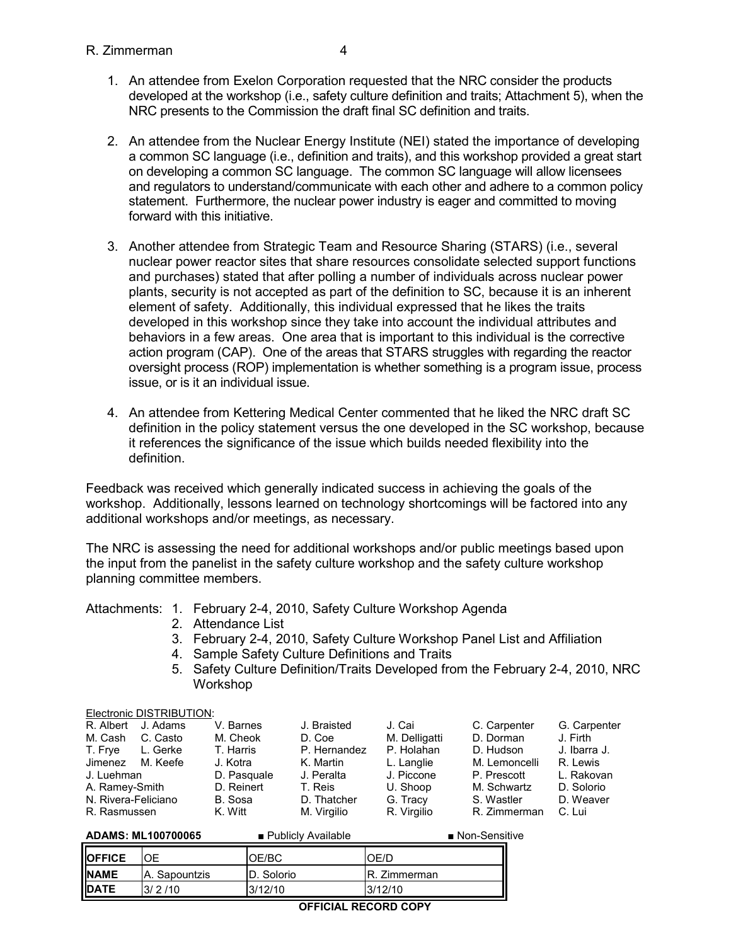- 1. An attendee from Exelon Corporation requested that the NRC consider the products developed at the workshop (i.e., safety culture definition and traits; Attachment 5), when the NRC presents to the Commission the draft final SC definition and traits.
- 2. An attendee from the Nuclear Energy Institute (NEI) stated the importance of developing a common SC language (i.e., definition and traits), and this workshop provided a great start on developing a common SC language. The common SC language will allow licensees and regulators to understand/communicate with each other and adhere to a common policy statement. Furthermore, the nuclear power industry is eager and committed to moving forward with this initiative.
- 3. Another attendee from Strategic Team and Resource Sharing (STARS) (i.e., several nuclear power reactor sites that share resources consolidate selected support functions and purchases) stated that after polling a number of individuals across nuclear power plants, security is not accepted as part of the definition to SC, because it is an inherent element of safety. Additionally, this individual expressed that he likes the traits developed in this workshop since they take into account the individual attributes and behaviors in a few areas. One area that is important to this individual is the corrective action program (CAP). One of the areas that STARS struggles with regarding the reactor oversight process (ROP) implementation is whether something is a program issue, process issue, or is it an individual issue.
- 4. An attendee from Kettering Medical Center commented that he liked the NRC draft SC definition in the policy statement versus the one developed in the SC workshop, because it references the significance of the issue which builds needed flexibility into the definition.

Feedback was received which generally indicated success in achieving the goals of the workshop. Additionally, lessons learned on technology shortcomings will be factored into any additional workshops and/or meetings, as necessary.

The NRC is assessing the need for additional workshops and/or public meetings based upon the input from the panelist in the safety culture workshop and the safety culture workshop planning committee members.

## Attachments: 1. February 2-4, 2010, Safety Culture Workshop Agenda

- 2. Attendance List
- 3. February 2-4, 2010, Safety Culture Workshop Panel List and Affiliation
- 4. Sample Safety Culture Definitions and Traits
- 5. Safety Culture Definition/Traits Developed from the February 2-4, 2010, NRC Workshop

#### Electronic DISTRIBUTION:

| R. Albert J. Adams  |          | V. Barnes   | J. Braisted  | J. Cai        | C. Carpenter  | G. Carpenter |
|---------------------|----------|-------------|--------------|---------------|---------------|--------------|
| M. Cash             | C. Casto | M. Cheok    | D. Coe       | M. Delligatti | D. Dorman     | J. Firth     |
| T. Frve             | L. Gerke | T. Harris   | P. Hernandez | P. Holahan    | D. Hudson     | J. Ibarra J. |
| Jimenez M. Keefe    |          | J. Kotra    | K. Martin    | L. Langlie    | M. Lemoncelli | R. Lewis     |
| J. Luehman          |          | D. Pasquale | J. Peralta   | J. Piccone    | P. Prescott   | L. Rakovan   |
| A. Ramey-Smith      |          | D. Reinert  | T. Reis      | U. Shoop      | M. Schwartz   | D. Solorio   |
| N. Rivera-Feliciano |          | B. Sosa     | D. Thatcher  | G. Tracy      | S. Wastler    | D. Weaver    |
| R. Rasmussen        |          | K. Witt     | M. Virgilio  | R. Virgilio   | R. Zimmerman  | C. Lui       |
|                     |          |             |              |               |               |              |

| <b>ADAMS: ML100700065</b> |               | ■ Publicly Available | ■ Non-Sensitive |  |  |
|---------------------------|---------------|----------------------|-----------------|--|--|
| <b>IOFFICE</b>            |               | OE/BC                | )F/L            |  |  |
| <b>NAME</b>               | A. Sapountzis | ID. Solorio          | . Zimmerman     |  |  |
| <b>IDATE</b>              | 3/2/10        | 3/12/10              | 3/12/10         |  |  |
|                           |               |                      |                 |  |  |

**OFFICIAL RECORD COPY**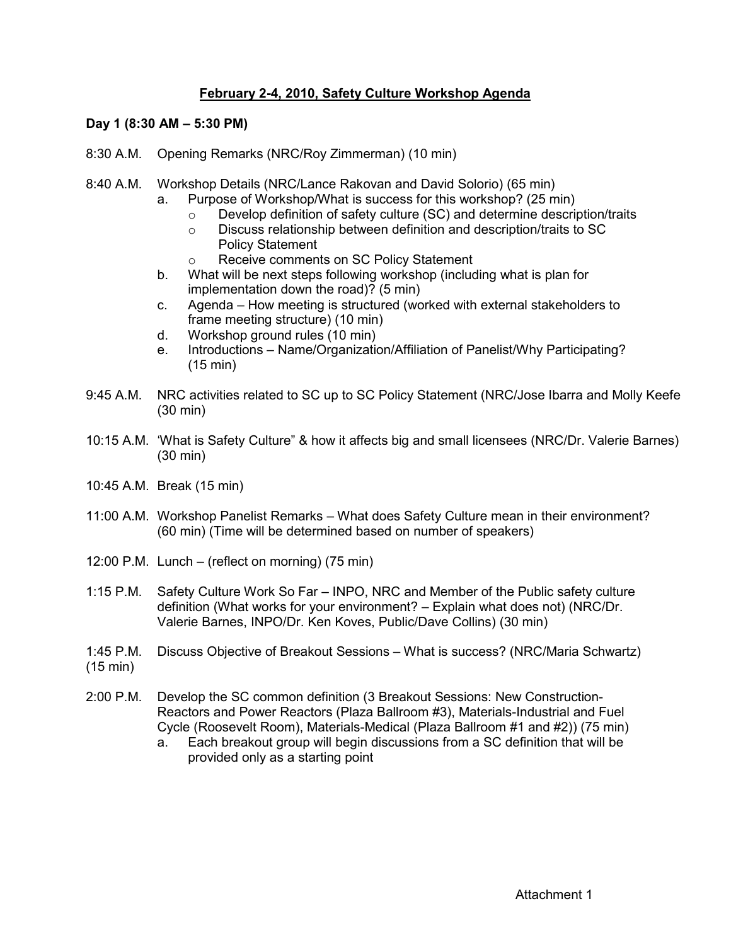## **February 2-4, 2010, Safety Culture Workshop Agenda**

## **Day 1 (8:30 AM – 5:30 PM)**

- 8:30 A.M. Opening Remarks (NRC/Roy Zimmerman) (10 min)
- 8:40 A.M. Workshop Details (NRC/Lance Rakovan and David Solorio) (65 min)
	- a. Purpose of Workshop/What is success for this workshop? (25 min)
		- $\circ$  Develop definition of safety culture (SC) and determine description/traits
		- o Discuss relationship between definition and description/traits to SC
			- Policy Statement
		- o Receive comments on SC Policy Statement
	- b. What will be next steps following workshop (including what is plan for implementation down the road)? (5 min)
	- c. Agenda How meeting is structured (worked with external stakeholders to frame meeting structure) (10 min)
	- d. Workshop ground rules (10 min)
	- e. Introductions Name/Organization/Affiliation of Panelist/Why Participating? (15 min)
- 9:45 A.M. NRC activities related to SC up to SC Policy Statement (NRC/Jose Ibarra and Molly Keefe (30 min)
- 10:15 A.M. 'What is Safety Culture" & how it affects big and small licensees (NRC/Dr. Valerie Barnes) (30 min)
- 10:45 A.M. Break (15 min)
- 11:00 A.M. Workshop Panelist Remarks What does Safety Culture mean in their environment? (60 min) (Time will be determined based on number of speakers)
- 12:00 P.M. Lunch (reflect on morning) (75 min)
- 1:15 P.M. Safety Culture Work So Far INPO, NRC and Member of the Public safety culture definition (What works for your environment? – Explain what does not) (NRC/Dr. Valerie Barnes, INPO/Dr. Ken Koves, Public/Dave Collins) (30 min)
- 1:45 P.M. Discuss Objective of Breakout Sessions What is success? (NRC/Maria Schwartz) (15 min)
- 2:00 P.M. Develop the SC common definition (3 Breakout Sessions: New Construction-Reactors and Power Reactors (Plaza Ballroom #3), Materials-Industrial and Fuel Cycle (Roosevelt Room), Materials-Medical (Plaza Ballroom #1 and #2)) (75 min)
	- a. Each breakout group will begin discussions from a SC definition that will be provided only as a starting point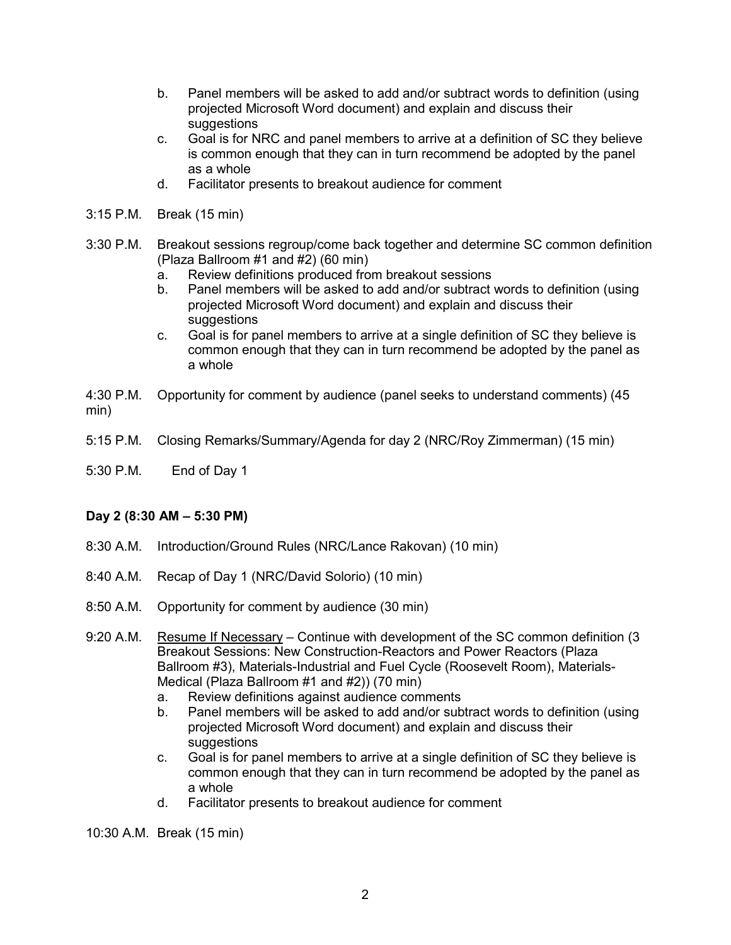- b. Panel members will be asked to add and/or subtract words to definition (using projected Microsoft Word document) and explain and discuss their suggestions
- c. Goal is for NRC and panel members to arrive at a definition of SC they believe is common enough that they can in turn recommend be adopted by the panel as a whole
- d. Facilitator presents to breakout audience for comment
- 3:15 P.M. Break (15 min)
- 3:30 P.M. Breakout sessions regroup/come back together and determine SC common definition (Plaza Ballroom #1 and #2) (60 min)
	- a. Review definitions produced from breakout sessions
	- b. Panel members will be asked to add and/or subtract words to definition (using projected Microsoft Word document) and explain and discuss their suggestions
	- c. Goal is for panel members to arrive at a single definition of SC they believe is common enough that they can in turn recommend be adopted by the panel as a whole
- 4:30 P.M. Opportunity for comment by audience (panel seeks to understand comments) (45 min)
- 5:15 P.M. Closing Remarks/Summary/Agenda for day 2 (NRC/Roy Zimmerman) (15 min)
- 5:30 P.M. End of Day 1

## **Day 2 (8:30 AM – 5:30 PM)**

- 8:30 A.M. Introduction/Ground Rules (NRC/Lance Rakovan) (10 min)
- 8:40 A.M. Recap of Day 1 (NRC/David Solorio) (10 min)
- 8:50 A.M. Opportunity for comment by audience (30 min)
- 9:20 A.M. Resume If Necessary Continue with development of the SC common definition (3 Breakout Sessions: New Construction-Reactors and Power Reactors (Plaza Ballroom #3), Materials-Industrial and Fuel Cycle (Roosevelt Room), Materials-Medical (Plaza Ballroom #1 and #2)) (70 min)
	- a. Review definitions against audience comments
	- b. Panel members will be asked to add and/or subtract words to definition (using projected Microsoft Word document) and explain and discuss their suggestions
	- c. Goal is for panel members to arrive at a single definition of SC they believe is common enough that they can in turn recommend be adopted by the panel as a whole
	- d. Facilitator presents to breakout audience for comment

10:30 A.M. Break (15 min)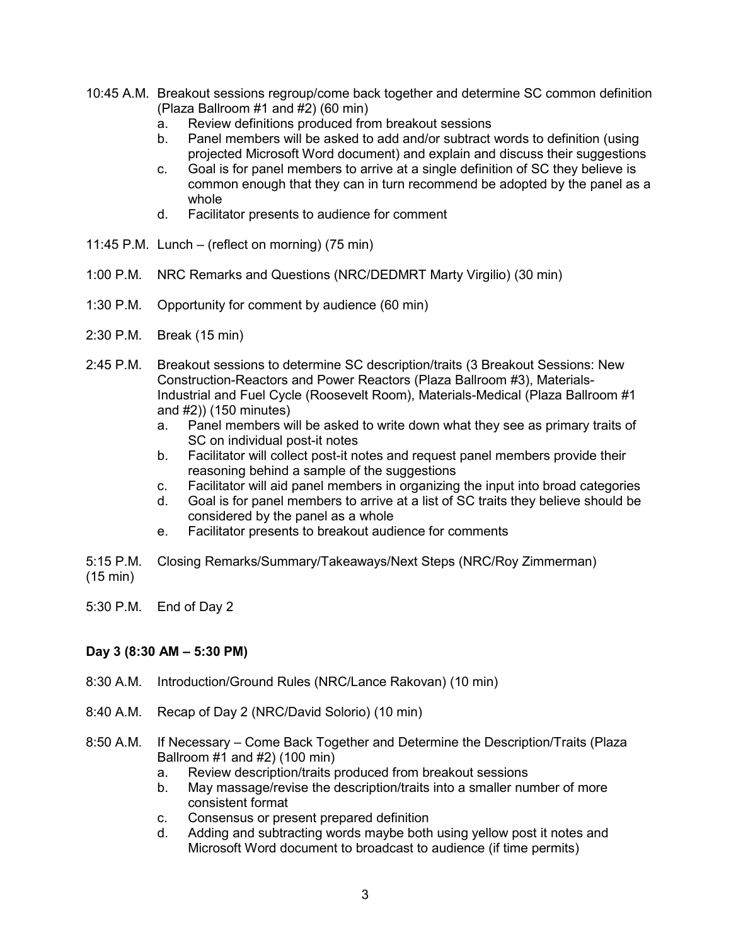- 10:45 A.M. Breakout sessions regroup/come back together and determine SC common definition (Plaza Ballroom #1 and #2) (60 min)
	- a. Review definitions produced from breakout sessions
	- b. Panel members will be asked to add and/or subtract words to definition (using projected Microsoft Word document) and explain and discuss their suggestions
	- c. Goal is for panel members to arrive at a single definition of SC they believe is common enough that they can in turn recommend be adopted by the panel as a whole
	- d. Facilitator presents to audience for comment
- 11:45 P.M. Lunch (reflect on morning) (75 min)
- 1:00 P.M. NRC Remarks and Questions (NRC/DEDMRT Marty Virgilio) (30 min)
- 1:30 P.M. Opportunity for comment by audience (60 min)
- 2:30 P.M. Break (15 min)
- 2:45 P.M. Breakout sessions to determine SC description/traits (3 Breakout Sessions: New Construction-Reactors and Power Reactors (Plaza Ballroom #3), Materials-Industrial and Fuel Cycle (Roosevelt Room), Materials-Medical (Plaza Ballroom #1 and #2)) (150 minutes)
	- a. Panel members will be asked to write down what they see as primary traits of SC on individual post-it notes
	- b. Facilitator will collect post-it notes and request panel members provide their reasoning behind a sample of the suggestions
	- c. Facilitator will aid panel members in organizing the input into broad categories
	- d. Goal is for panel members to arrive at a list of SC traits they believe should be considered by the panel as a whole
	- e. Facilitator presents to breakout audience for comments
- 5:15 P.M. Closing Remarks/Summary/Takeaways/Next Steps (NRC/Roy Zimmerman) (15 min)
- 5:30 P.M. End of Day 2

## **Day 3 (8:30 AM – 5:30 PM)**

- 8:30 A.M. Introduction/Ground Rules (NRC/Lance Rakovan) (10 min)
- 8:40 A.M. Recap of Day 2 (NRC/David Solorio) (10 min)
- 8:50 A.M. If Necessary Come Back Together and Determine the Description/Traits (Plaza Ballroom #1 and #2) (100 min)
	- a. Review description/traits produced from breakout sessions
	- b. May massage/revise the description/traits into a smaller number of more consistent format
	- c. Consensus or present prepared definition
	- d. Adding and subtracting words maybe both using yellow post it notes and Microsoft Word document to broadcast to audience (if time permits)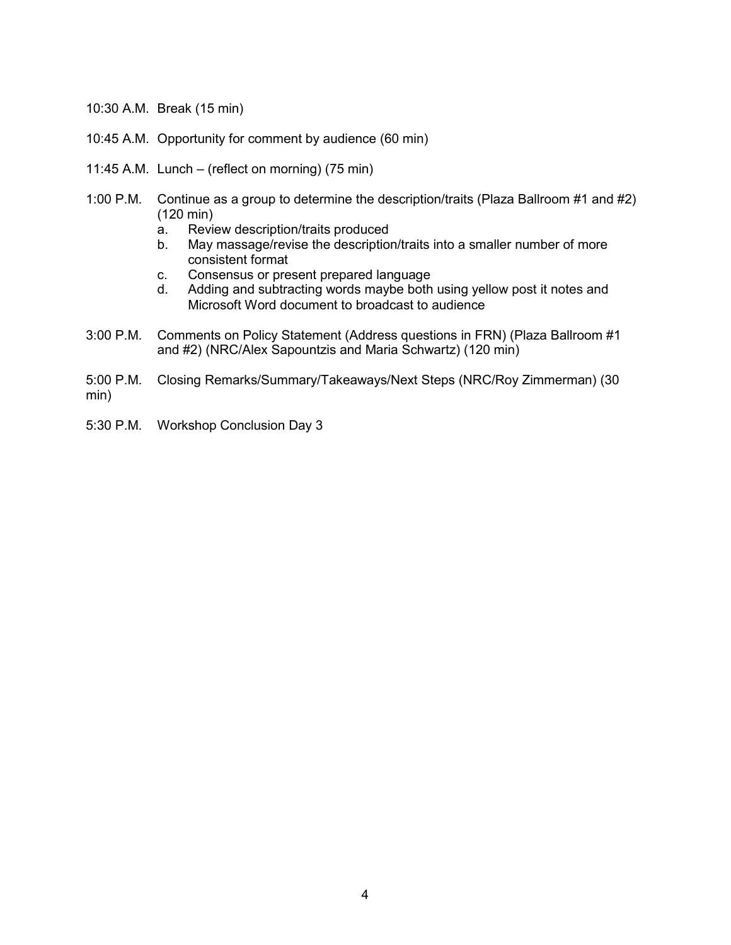- 10:30 A.M. Break (15 min)
- 10:45 A.M. Opportunity for comment by audience (60 min)
- 11:45 A.M. Lunch (reflect on morning) (75 min)
- 1:00 P.M. Continue as a group to determine the description/traits (Plaza Ballroom #1 and #2) (120 min)
	- a. Review description/traits produced
	- b. May massage/revise the description/traits into a smaller number of more consistent format
	- c. Consensus or present prepared language
	- d. Adding and subtracting words maybe both using yellow post it notes and Microsoft Word document to broadcast to audience
- 3:00 P.M. Comments on Policy Statement (Address questions in FRN) (Plaza Ballroom #1 and #2) (NRC/Alex Sapountzis and Maria Schwartz) (120 min)
- 5:00 P.M. Closing Remarks/Summary/Takeaways/Next Steps (NRC/Roy Zimmerman) (30 min)
- 5:30 P.M. Workshop Conclusion Day 3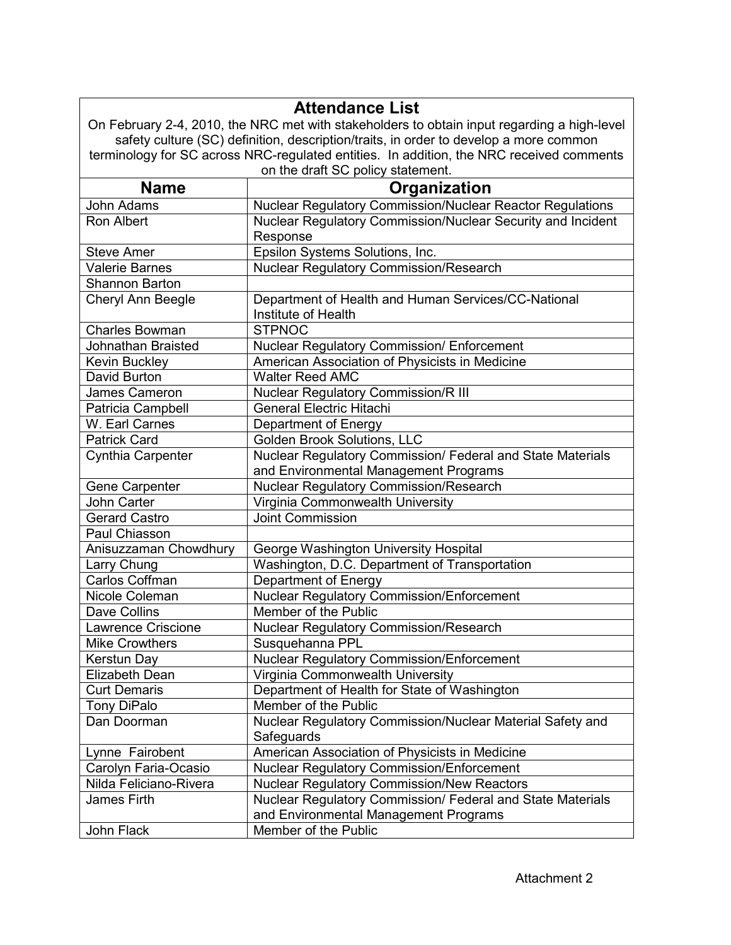|                                                                                          | <b>Attendance List</b>                                                                      |  |  |  |  |
|------------------------------------------------------------------------------------------|---------------------------------------------------------------------------------------------|--|--|--|--|
|                                                                                          | On February 2-4, 2010, the NRC met with stakeholders to obtain input regarding a high-level |  |  |  |  |
|                                                                                          | safety culture (SC) definition, description/traits, in order to develop a more common       |  |  |  |  |
| terminology for SC across NRC-regulated entities. In addition, the NRC received comments |                                                                                             |  |  |  |  |
| on the draft SC policy statement.                                                        |                                                                                             |  |  |  |  |
| <b>Name</b><br>Organization                                                              |                                                                                             |  |  |  |  |
| John Adams                                                                               | Nuclear Regulatory Commission/Nuclear Reactor Regulations                                   |  |  |  |  |
| Ron Albert                                                                               | Nuclear Regulatory Commission/Nuclear Security and Incident                                 |  |  |  |  |
|                                                                                          | Response                                                                                    |  |  |  |  |
| <b>Steve Amer</b>                                                                        | Epsilon Systems Solutions, Inc.                                                             |  |  |  |  |
| <b>Valerie Barnes</b>                                                                    | <b>Nuclear Regulatory Commission/Research</b>                                               |  |  |  |  |
| <b>Shannon Barton</b>                                                                    |                                                                                             |  |  |  |  |
| Cheryl Ann Beegle                                                                        | Department of Health and Human Services/CC-National                                         |  |  |  |  |
|                                                                                          | Institute of Health                                                                         |  |  |  |  |
| <b>Charles Bowman</b>                                                                    | <b>STPNOC</b>                                                                               |  |  |  |  |
| <b>Johnathan Braisted</b>                                                                | Nuclear Regulatory Commission/ Enforcement                                                  |  |  |  |  |
| <b>Kevin Buckley</b>                                                                     | American Association of Physicists in Medicine                                              |  |  |  |  |
| David Burton                                                                             | <b>Walter Reed AMC</b>                                                                      |  |  |  |  |
| James Cameron                                                                            | Nuclear Regulatory Commission/R III                                                         |  |  |  |  |
| Patricia Campbell                                                                        | <b>General Electric Hitachi</b>                                                             |  |  |  |  |
| W. Earl Carnes                                                                           | Department of Energy                                                                        |  |  |  |  |
| <b>Patrick Card</b>                                                                      | <b>Golden Brook Solutions, LLC</b>                                                          |  |  |  |  |
| Cynthia Carpenter                                                                        | Nuclear Regulatory Commission/ Federal and State Materials                                  |  |  |  |  |
|                                                                                          | and Environmental Management Programs                                                       |  |  |  |  |
| Gene Carpenter                                                                           | <b>Nuclear Regulatory Commission/Research</b>                                               |  |  |  |  |
| John Carter                                                                              | Virginia Commonwealth University                                                            |  |  |  |  |
| <b>Gerard Castro</b>                                                                     | <b>Joint Commission</b>                                                                     |  |  |  |  |
| Paul Chiasson                                                                            |                                                                                             |  |  |  |  |
| Anisuzzaman Chowdhury                                                                    | George Washington University Hospital                                                       |  |  |  |  |
| Larry Chung                                                                              | Washington, D.C. Department of Transportation                                               |  |  |  |  |
| Carlos Coffman                                                                           | Department of Energy                                                                        |  |  |  |  |
| Nicole Coleman                                                                           | Nuclear Regulatory Commission/Enforcement                                                   |  |  |  |  |
| Dave Collins                                                                             | Member of the Public                                                                        |  |  |  |  |
| <b>Lawrence Criscione</b>                                                                | Nuclear Regulatory Commission/Research                                                      |  |  |  |  |
| <b>Mike Crowthers</b>                                                                    | Susquehanna PPL                                                                             |  |  |  |  |
| Kerstun Day                                                                              | Nuclear Regulatory Commission/Enforcement                                                   |  |  |  |  |
| Elizabeth Dean                                                                           | Virginia Commonwealth University                                                            |  |  |  |  |
| <b>Curt Demaris</b>                                                                      | Department of Health for State of Washington                                                |  |  |  |  |
| <b>Tony DiPalo</b>                                                                       | Member of the Public                                                                        |  |  |  |  |
| Dan Doorman                                                                              | Nuclear Regulatory Commission/Nuclear Material Safety and                                   |  |  |  |  |
|                                                                                          | Safeguards                                                                                  |  |  |  |  |
| Lynne Fairobent                                                                          | American Association of Physicists in Medicine                                              |  |  |  |  |
| Carolyn Faria-Ocasio                                                                     | <b>Nuclear Regulatory Commission/Enforcement</b>                                            |  |  |  |  |
| Nilda Feliciano-Rivera                                                                   | <b>Nuclear Regulatory Commission/New Reactors</b>                                           |  |  |  |  |
| James Firth                                                                              | Nuclear Regulatory Commission/ Federal and State Materials                                  |  |  |  |  |
|                                                                                          | and Environmental Management Programs                                                       |  |  |  |  |
| John Flack                                                                               | Member of the Public                                                                        |  |  |  |  |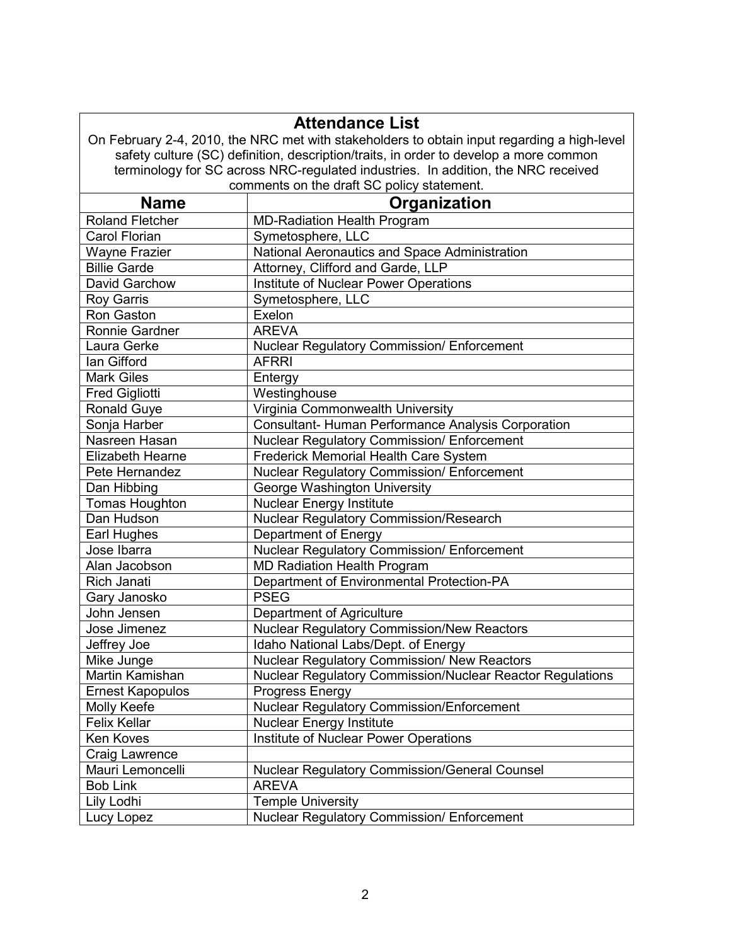| <b>Attendance List</b>                                                            |                                                                                             |  |  |  |  |  |
|-----------------------------------------------------------------------------------|---------------------------------------------------------------------------------------------|--|--|--|--|--|
|                                                                                   | On February 2-4, 2010, the NRC met with stakeholders to obtain input regarding a high-level |  |  |  |  |  |
|                                                                                   | safety culture (SC) definition, description/traits, in order to develop a more common       |  |  |  |  |  |
| terminology for SC across NRC-regulated industries. In addition, the NRC received |                                                                                             |  |  |  |  |  |
|                                                                                   | comments on the draft SC policy statement.                                                  |  |  |  |  |  |
| Organization<br><b>Name</b>                                                       |                                                                                             |  |  |  |  |  |
| <b>Roland Fletcher</b>                                                            | <b>MD-Radiation Health Program</b>                                                          |  |  |  |  |  |
| <b>Carol Florian</b>                                                              | Symetosphere, LLC                                                                           |  |  |  |  |  |
| <b>Wayne Frazier</b>                                                              | National Aeronautics and Space Administration                                               |  |  |  |  |  |
| <b>Billie Garde</b>                                                               | Attorney, Clifford and Garde, LLP                                                           |  |  |  |  |  |
| David Garchow                                                                     | Institute of Nuclear Power Operations                                                       |  |  |  |  |  |
| <b>Roy Garris</b>                                                                 | Symetosphere, LLC                                                                           |  |  |  |  |  |
| Ron Gaston                                                                        | Exelon                                                                                      |  |  |  |  |  |
| Ronnie Gardner                                                                    | <b>AREVA</b>                                                                                |  |  |  |  |  |
| Laura Gerke                                                                       | Nuclear Regulatory Commission/ Enforcement                                                  |  |  |  |  |  |
| Ian Gifford                                                                       | <b>AFRRI</b>                                                                                |  |  |  |  |  |
| <b>Mark Giles</b>                                                                 | Entergy                                                                                     |  |  |  |  |  |
| <b>Fred Gigliotti</b>                                                             | Westinghouse                                                                                |  |  |  |  |  |
| <b>Ronald Guye</b>                                                                | Virginia Commonwealth University                                                            |  |  |  |  |  |
| Sonja Harber                                                                      | Consultant- Human Performance Analysis Corporation                                          |  |  |  |  |  |
| Nasreen Hasan                                                                     | Nuclear Regulatory Commission/ Enforcement                                                  |  |  |  |  |  |
| Elizabeth Hearne                                                                  | Frederick Memorial Health Care System                                                       |  |  |  |  |  |
| Pete Hernandez                                                                    | Nuclear Regulatory Commission/ Enforcement                                                  |  |  |  |  |  |
| Dan Hibbing                                                                       | George Washington University                                                                |  |  |  |  |  |
| <b>Tomas Houghton</b>                                                             | <b>Nuclear Energy Institute</b>                                                             |  |  |  |  |  |
| Dan Hudson                                                                        | <b>Nuclear Regulatory Commission/Research</b>                                               |  |  |  |  |  |
| Earl Hughes                                                                       | Department of Energy                                                                        |  |  |  |  |  |
| Jose Ibarra                                                                       | Nuclear Regulatory Commission/ Enforcement                                                  |  |  |  |  |  |
| Alan Jacobson                                                                     | <b>MD Radiation Health Program</b>                                                          |  |  |  |  |  |
| <b>Rich Janati</b>                                                                | Department of Environmental Protection-PA                                                   |  |  |  |  |  |
| Gary Janosko                                                                      | <b>PSEG</b>                                                                                 |  |  |  |  |  |
| John Jensen                                                                       | Department of Agriculture                                                                   |  |  |  |  |  |
| Jose Jimenez                                                                      | Nuclear Regulatory Commission/New Reactors                                                  |  |  |  |  |  |
| Jeffrey Joe                                                                       | Idaho National Labs/Dept. of Energy                                                         |  |  |  |  |  |
| Mike Junge                                                                        | <b>Nuclear Regulatory Commission/ New Reactors</b>                                          |  |  |  |  |  |
| Martin Kamishan                                                                   | Nuclear Regulatory Commission/Nuclear Reactor Regulations                                   |  |  |  |  |  |
| <b>Ernest Kapopulos</b>                                                           | Progress Energy                                                                             |  |  |  |  |  |
| Molly Keefe                                                                       | <b>Nuclear Regulatory Commission/Enforcement</b>                                            |  |  |  |  |  |
| <b>Felix Kellar</b>                                                               | <b>Nuclear Energy Institute</b>                                                             |  |  |  |  |  |
| Ken Koves                                                                         | <b>Institute of Nuclear Power Operations</b>                                                |  |  |  |  |  |
| Craig Lawrence                                                                    |                                                                                             |  |  |  |  |  |
| Mauri Lemoncelli                                                                  | <b>Nuclear Regulatory Commission/General Counsel</b>                                        |  |  |  |  |  |
| <b>Bob Link</b>                                                                   | <b>AREVA</b>                                                                                |  |  |  |  |  |
| Lily Lodhi                                                                        | <b>Temple University</b>                                                                    |  |  |  |  |  |
| Lucy Lopez                                                                        | Nuclear Regulatory Commission/ Enforcement                                                  |  |  |  |  |  |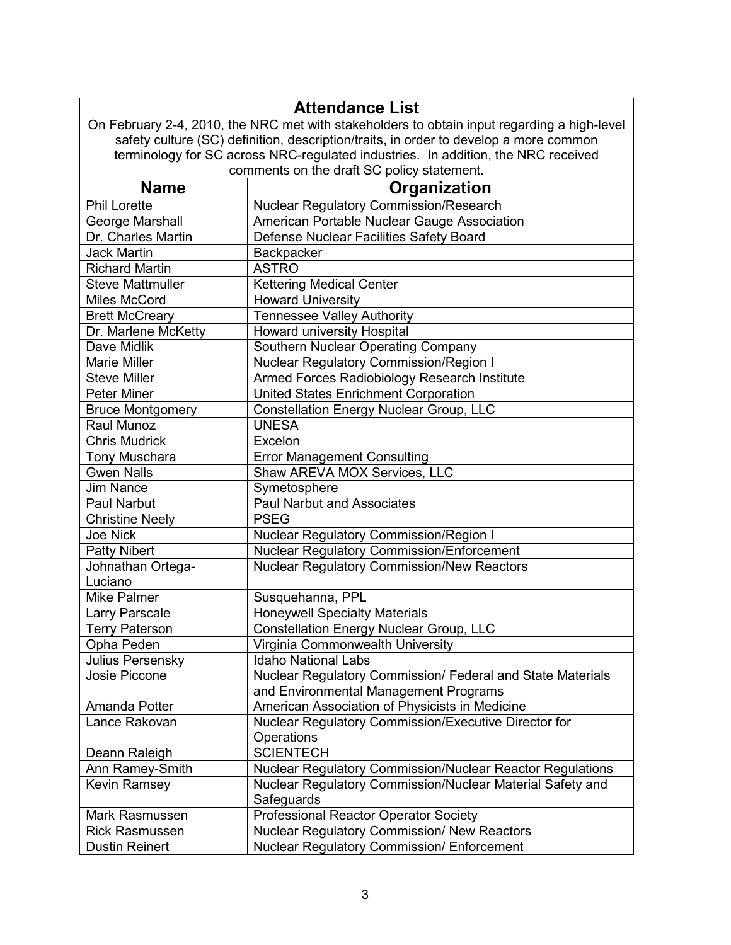|                                                                                   | <b>Attendance List</b>                                                                      |  |  |  |  |  |
|-----------------------------------------------------------------------------------|---------------------------------------------------------------------------------------------|--|--|--|--|--|
|                                                                                   | On February 2-4, 2010, the NRC met with stakeholders to obtain input regarding a high-level |  |  |  |  |  |
|                                                                                   | safety culture (SC) definition, description/traits, in order to develop a more common       |  |  |  |  |  |
| terminology for SC across NRC-regulated industries. In addition, the NRC received |                                                                                             |  |  |  |  |  |
|                                                                                   | comments on the draft SC policy statement.                                                  |  |  |  |  |  |
| <b>Name</b><br>Organization                                                       |                                                                                             |  |  |  |  |  |
| <b>Phil Lorette</b>                                                               | Nuclear Regulatory Commission/Research                                                      |  |  |  |  |  |
| George Marshall                                                                   | American Portable Nuclear Gauge Association                                                 |  |  |  |  |  |
| Dr. Charles Martin                                                                | Defense Nuclear Facilities Safety Board                                                     |  |  |  |  |  |
| <b>Jack Martin</b>                                                                | Backpacker                                                                                  |  |  |  |  |  |
| <b>Richard Martin</b>                                                             | <b>ASTRO</b>                                                                                |  |  |  |  |  |
| <b>Steve Mattmuller</b>                                                           | <b>Kettering Medical Center</b>                                                             |  |  |  |  |  |
| <b>Miles McCord</b>                                                               | <b>Howard University</b>                                                                    |  |  |  |  |  |
| <b>Brett McCreary</b>                                                             | <b>Tennessee Valley Authority</b>                                                           |  |  |  |  |  |
| Dr. Marlene McKetty                                                               | Howard university Hospital                                                                  |  |  |  |  |  |
| Dave Midlik                                                                       | <b>Southern Nuclear Operating Company</b>                                                   |  |  |  |  |  |
| <b>Marie Miller</b>                                                               | <b>Nuclear Regulatory Commission/Region I</b>                                               |  |  |  |  |  |
| <b>Steve Miller</b>                                                               | Armed Forces Radiobiology Research Institute                                                |  |  |  |  |  |
| <b>Peter Miner</b>                                                                | <b>United States Enrichment Corporation</b>                                                 |  |  |  |  |  |
| <b>Bruce Montgomery</b>                                                           | <b>Constellation Energy Nuclear Group, LLC</b>                                              |  |  |  |  |  |
| Raul Munoz                                                                        | <b>UNESA</b>                                                                                |  |  |  |  |  |
| <b>Chris Mudrick</b>                                                              | Excelon                                                                                     |  |  |  |  |  |
| <b>Tony Muschara</b>                                                              | <b>Error Management Consulting</b>                                                          |  |  |  |  |  |
| <b>Gwen Nalls</b>                                                                 | Shaw AREVA MOX Services, LLC                                                                |  |  |  |  |  |
| <b>Jim Nance</b>                                                                  | Symetosphere                                                                                |  |  |  |  |  |
| Paul Narbut                                                                       | <b>Paul Narbut and Associates</b>                                                           |  |  |  |  |  |
| <b>Christine Neely</b>                                                            | <b>PSEG</b>                                                                                 |  |  |  |  |  |
| <b>Joe Nick</b>                                                                   | Nuclear Regulatory Commission/Region I                                                      |  |  |  |  |  |
| <b>Patty Nibert</b>                                                               | <b>Nuclear Regulatory Commission/Enforcement</b>                                            |  |  |  |  |  |
| Johnathan Ortega-                                                                 | <b>Nuclear Regulatory Commission/New Reactors</b>                                           |  |  |  |  |  |
| Luciano                                                                           |                                                                                             |  |  |  |  |  |
| <b>Mike Palmer</b>                                                                | Susquehanna, PPL                                                                            |  |  |  |  |  |
| <b>Larry Parscale</b>                                                             | <b>Honeywell Specialty Materials</b>                                                        |  |  |  |  |  |
| <b>Terry Paterson</b>                                                             | <b>Constellation Energy Nuclear Group, LLC</b>                                              |  |  |  |  |  |
| Opha Peden                                                                        | Virginia Commonwealth University                                                            |  |  |  |  |  |
| Julius Persensky                                                                  | <b>Idaho National Labs</b>                                                                  |  |  |  |  |  |
| Josie Piccone                                                                     | Nuclear Regulatory Commission/ Federal and State Materials                                  |  |  |  |  |  |
|                                                                                   | and Environmental Management Programs                                                       |  |  |  |  |  |
| Amanda Potter                                                                     | American Association of Physicists in Medicine                                              |  |  |  |  |  |
| Lance Rakovan                                                                     | Nuclear Regulatory Commission/Executive Director for                                        |  |  |  |  |  |
|                                                                                   | Operations                                                                                  |  |  |  |  |  |
| Deann Raleigh                                                                     | <b>SCIENTECH</b>                                                                            |  |  |  |  |  |
| Ann Ramey-Smith                                                                   | Nuclear Regulatory Commission/Nuclear Reactor Regulations                                   |  |  |  |  |  |
| Kevin Ramsey                                                                      | Nuclear Regulatory Commission/Nuclear Material Safety and                                   |  |  |  |  |  |
|                                                                                   | Safeguards                                                                                  |  |  |  |  |  |
| Mark Rasmussen                                                                    | Professional Reactor Operator Society                                                       |  |  |  |  |  |
| <b>Rick Rasmussen</b>                                                             | Nuclear Regulatory Commission/ New Reactors                                                 |  |  |  |  |  |
| <b>Dustin Reinert</b>                                                             | Nuclear Regulatory Commission/ Enforcement                                                  |  |  |  |  |  |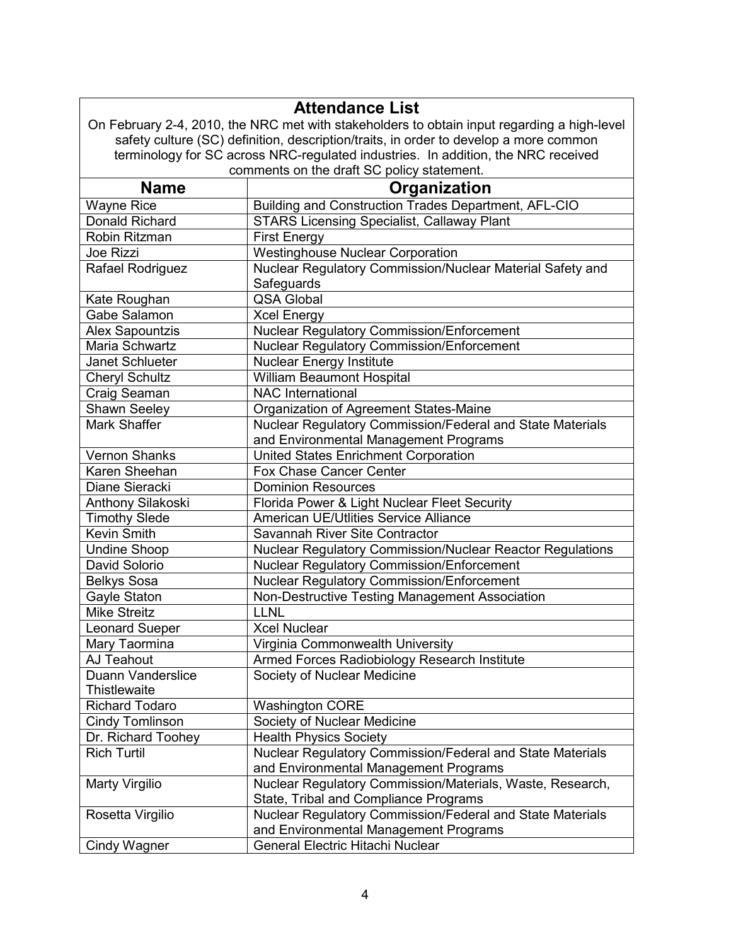|                                                                                       | <b>Attendance List</b>                                                                      |  |  |  |  |
|---------------------------------------------------------------------------------------|---------------------------------------------------------------------------------------------|--|--|--|--|
|                                                                                       | On February 2-4, 2010, the NRC met with stakeholders to obtain input regarding a high-level |  |  |  |  |
| safety culture (SC) definition, description/traits, in order to develop a more common |                                                                                             |  |  |  |  |
| terminology for SC across NRC-regulated industries. In addition, the NRC received     |                                                                                             |  |  |  |  |
|                                                                                       | comments on the draft SC policy statement.                                                  |  |  |  |  |
| <b>Name</b><br>Organization                                                           |                                                                                             |  |  |  |  |
| <b>Wayne Rice</b>                                                                     | Building and Construction Trades Department, AFL-CIO                                        |  |  |  |  |
| <b>Donald Richard</b>                                                                 | <b>STARS Licensing Specialist, Callaway Plant</b>                                           |  |  |  |  |
| Robin Ritzman                                                                         | <b>First Energy</b>                                                                         |  |  |  |  |
| Joe Rizzi                                                                             | <b>Westinghouse Nuclear Corporation</b>                                                     |  |  |  |  |
| Rafael Rodriguez                                                                      | Nuclear Regulatory Commission/Nuclear Material Safety and                                   |  |  |  |  |
|                                                                                       | Safeguards                                                                                  |  |  |  |  |
| Kate Roughan                                                                          | <b>QSA Global</b>                                                                           |  |  |  |  |
| Gabe Salamon                                                                          | <b>Xcel Energy</b>                                                                          |  |  |  |  |
| Alex Sapountzis                                                                       | <b>Nuclear Regulatory Commission/Enforcement</b>                                            |  |  |  |  |
| Maria Schwartz                                                                        | Nuclear Regulatory Commission/Enforcement                                                   |  |  |  |  |
| Janet Schlueter                                                                       | <b>Nuclear Energy Institute</b>                                                             |  |  |  |  |
| <b>Cheryl Schultz</b>                                                                 | <b>William Beaumont Hospital</b>                                                            |  |  |  |  |
| Craig Seaman                                                                          | <b>NAC</b> International                                                                    |  |  |  |  |
| Shawn Seeley                                                                          | Organization of Agreement States-Maine                                                      |  |  |  |  |
| Mark Shaffer                                                                          | Nuclear Regulatory Commission/Federal and State Materials                                   |  |  |  |  |
|                                                                                       | and Environmental Management Programs                                                       |  |  |  |  |
| <b>Vernon Shanks</b>                                                                  | <b>United States Enrichment Corporation</b>                                                 |  |  |  |  |
| Karen Sheehan                                                                         | Fox Chase Cancer Center                                                                     |  |  |  |  |
| Diane Sieracki                                                                        | <b>Dominion Resources</b>                                                                   |  |  |  |  |
| Anthony Silakoski                                                                     | Florida Power & Light Nuclear Fleet Security                                                |  |  |  |  |
| <b>Timothy Slede</b>                                                                  | American UE/Utlities Service Alliance                                                       |  |  |  |  |
| Kevin Smith                                                                           | Savannah River Site Contractor                                                              |  |  |  |  |
| <b>Undine Shoop</b>                                                                   | <b>Nuclear Regulatory Commission/Nuclear Reactor Regulations</b>                            |  |  |  |  |
| David Solorio                                                                         | <b>Nuclear Regulatory Commission/Enforcement</b>                                            |  |  |  |  |
| <b>Belkys Sosa</b>                                                                    | Nuclear Regulatory Commission/Enforcement                                                   |  |  |  |  |
| Gayle Staton                                                                          | Non-Destructive Testing Management Association                                              |  |  |  |  |
| <b>Mike Streitz</b>                                                                   | <b>LLNL</b>                                                                                 |  |  |  |  |
| eonard Sueper                                                                         | <b>Xcel Nuclear</b>                                                                         |  |  |  |  |
| Mary Taormina                                                                         | Virginia Commonwealth University                                                            |  |  |  |  |
| AJ Teahout                                                                            | Armed Forces Radiobiology Research Institute                                                |  |  |  |  |
| Duann Vanderslice                                                                     | Society of Nuclear Medicine                                                                 |  |  |  |  |
| Thistlewaite                                                                          |                                                                                             |  |  |  |  |
| <b>Richard Todaro</b>                                                                 | <b>Washington CORE</b>                                                                      |  |  |  |  |
| Cindy Tomlinson                                                                       | Society of Nuclear Medicine                                                                 |  |  |  |  |
| Dr. Richard Toohey                                                                    | <b>Health Physics Society</b>                                                               |  |  |  |  |
| <b>Rich Turtil</b>                                                                    | Nuclear Regulatory Commission/Federal and State Materials                                   |  |  |  |  |
|                                                                                       | and Environmental Management Programs                                                       |  |  |  |  |
| Marty Virgilio                                                                        | Nuclear Regulatory Commission/Materials, Waste, Research,                                   |  |  |  |  |
|                                                                                       | State, Tribal and Compliance Programs                                                       |  |  |  |  |
| Rosetta Virgilio                                                                      | Nuclear Regulatory Commission/Federal and State Materials                                   |  |  |  |  |
|                                                                                       | and Environmental Management Programs                                                       |  |  |  |  |
| <b>Cindy Wagner</b>                                                                   | General Electric Hitachi Nuclear                                                            |  |  |  |  |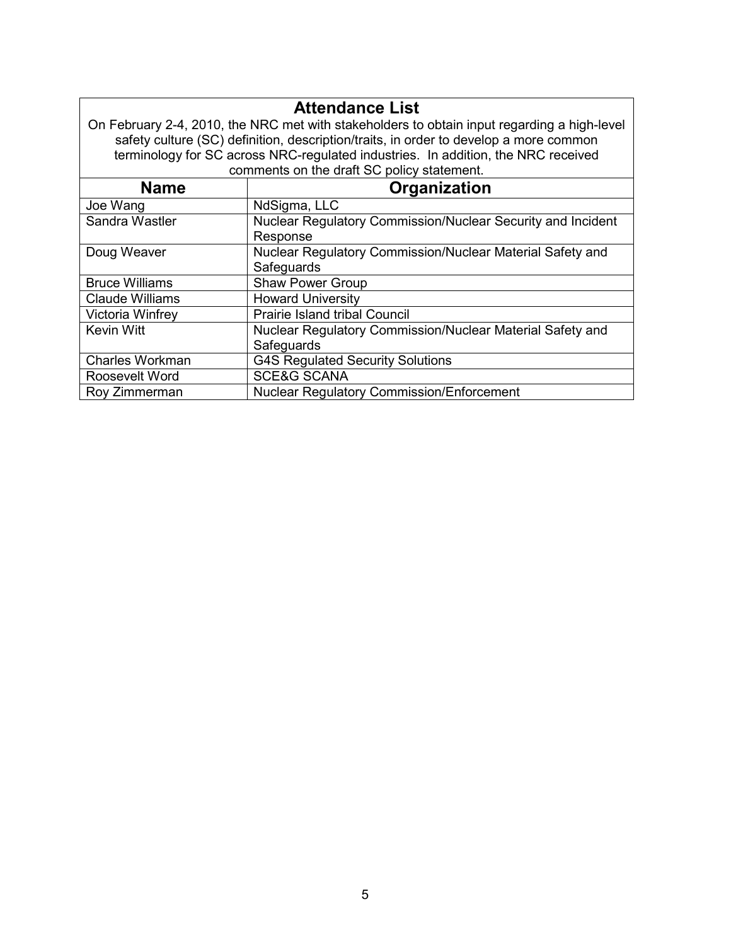|                                                                                             | <b>Attendance List</b>                                                                |  |  |  |  |
|---------------------------------------------------------------------------------------------|---------------------------------------------------------------------------------------|--|--|--|--|
| On February 2-4, 2010, the NRC met with stakeholders to obtain input regarding a high-level |                                                                                       |  |  |  |  |
|                                                                                             | safety culture (SC) definition, description/traits, in order to develop a more common |  |  |  |  |
|                                                                                             | terminology for SC across NRC-regulated industries. In addition, the NRC received     |  |  |  |  |
|                                                                                             | comments on the draft SC policy statement.                                            |  |  |  |  |
| <b>Name</b>                                                                                 | Organization                                                                          |  |  |  |  |
| Joe Wang                                                                                    | NdSigma, LLC                                                                          |  |  |  |  |
| Sandra Wastler                                                                              | Nuclear Regulatory Commission/Nuclear Security and Incident                           |  |  |  |  |
|                                                                                             | Response                                                                              |  |  |  |  |
| Doug Weaver                                                                                 | Nuclear Regulatory Commission/Nuclear Material Safety and                             |  |  |  |  |
|                                                                                             | Safeguards                                                                            |  |  |  |  |
| <b>Bruce Williams</b>                                                                       | <b>Shaw Power Group</b>                                                               |  |  |  |  |
| <b>Claude Williams</b>                                                                      | <b>Howard University</b>                                                              |  |  |  |  |
| Victoria Winfrey                                                                            | <b>Prairie Island tribal Council</b>                                                  |  |  |  |  |
| <b>Kevin Witt</b>                                                                           | Nuclear Regulatory Commission/Nuclear Material Safety and                             |  |  |  |  |
|                                                                                             | Safeguards                                                                            |  |  |  |  |
| Charles Workman                                                                             | <b>G4S Regulated Security Solutions</b>                                               |  |  |  |  |
| Roosevelt Word                                                                              | <b>SCE&amp;G SCANA</b>                                                                |  |  |  |  |
| Roy Zimmerman                                                                               | <b>Nuclear Regulatory Commission/Enforcement</b>                                      |  |  |  |  |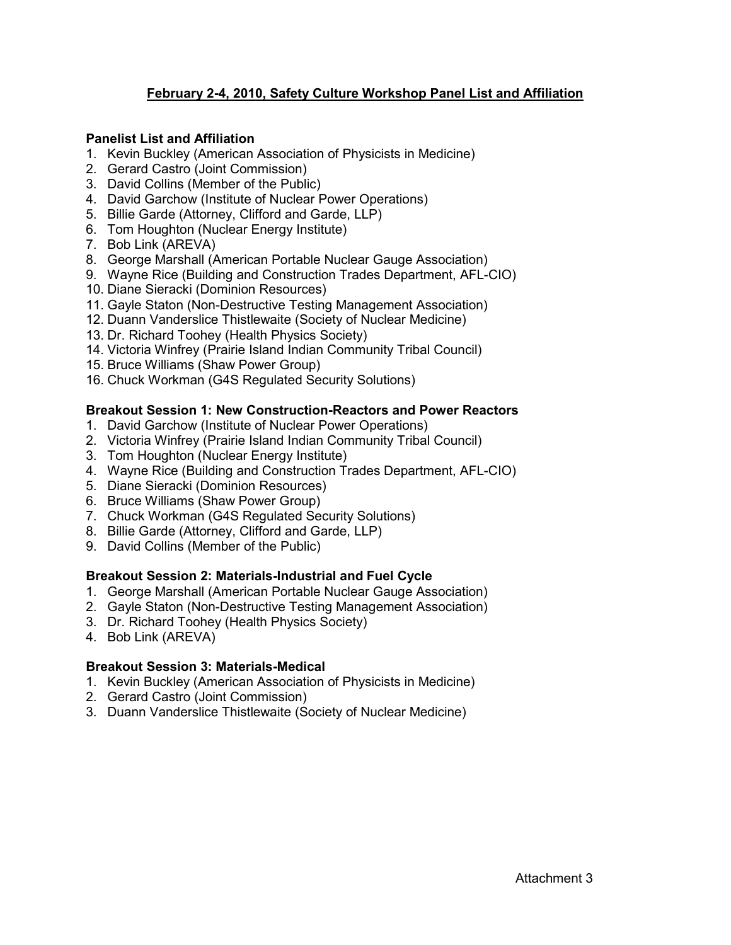## **February 2-4, 2010, Safety Culture Workshop Panel List and Affiliation**

#### **Panelist List and Affiliation**

- 1. Kevin Buckley (American Association of Physicists in Medicine)
- 2. Gerard Castro (Joint Commission)
- 3. David Collins (Member of the Public)
- 4. David Garchow (Institute of Nuclear Power Operations)
- 5. Billie Garde (Attorney, Clifford and Garde, LLP)
- 6. Tom Houghton (Nuclear Energy Institute)
- 7. Bob Link (AREVA)
- 8. George Marshall (American Portable Nuclear Gauge Association)
- 9. Wayne Rice (Building and Construction Trades Department, AFL-CIO)
- 10. Diane Sieracki (Dominion Resources)
- 11. Gayle Staton (Non-Destructive Testing Management Association)
- 12. Duann Vanderslice Thistlewaite (Society of Nuclear Medicine)
- 13. Dr. Richard Toohey (Health Physics Society)
- 14. Victoria Winfrey (Prairie Island Indian Community Tribal Council)
- 15. Bruce Williams (Shaw Power Group)
- 16. Chuck Workman (G4S Regulated Security Solutions)

#### **Breakout Session 1: New Construction-Reactors and Power Reactors**

- 1. David Garchow (Institute of Nuclear Power Operations)
- 2. Victoria Winfrey (Prairie Island Indian Community Tribal Council)
- 3. Tom Houghton (Nuclear Energy Institute)
- 4. Wayne Rice (Building and Construction Trades Department, AFL-CIO)
- 5. Diane Sieracki (Dominion Resources)
- 6. Bruce Williams (Shaw Power Group)
- 7. Chuck Workman (G4S Regulated Security Solutions)
- 8. Billie Garde (Attorney, Clifford and Garde, LLP)
- 9. David Collins (Member of the Public)

## **Breakout Session 2: Materials-Industrial and Fuel Cycle**

- 1. George Marshall (American Portable Nuclear Gauge Association)
- 2. Gayle Staton (Non-Destructive Testing Management Association)
- 3. Dr. Richard Toohey (Health Physics Society)
- 4. Bob Link (AREVA)

## **Breakout Session 3: Materials-Medical**

- 1. Kevin Buckley (American Association of Physicists in Medicine)
- 2. Gerard Castro (Joint Commission)
- 3. Duann Vanderslice Thistlewaite (Society of Nuclear Medicine)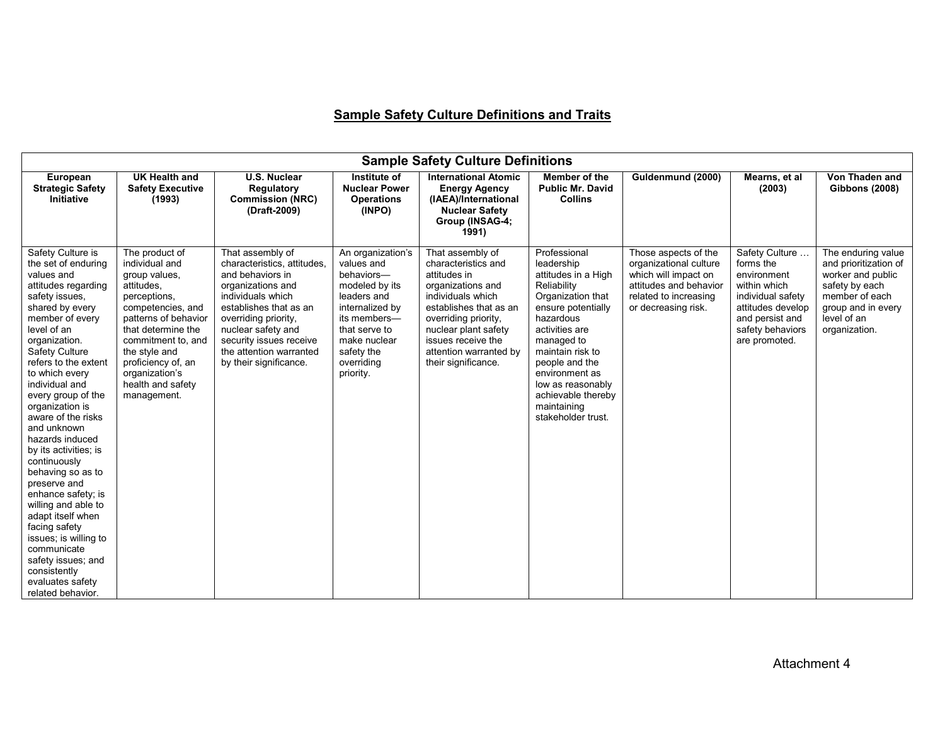# **Sample Safety Culture Definitions and Traits**

| <b>Sample Safety Culture Definitions</b>                                                                                                                                                                                                                                                                                                                                                                                                                                                                                                                                                                                                     |                                                                                                                                                                                                                                                                       |                                                                                                                                                                                                                                                                       |                                                                                                                                                                                             |                                                                                                                                                                                                                                                    |                                                                                                                                                                                                                                                                                                  |                                                                                                                                                  |                                                                                                                                                              |                                                                                                                                                            |
|----------------------------------------------------------------------------------------------------------------------------------------------------------------------------------------------------------------------------------------------------------------------------------------------------------------------------------------------------------------------------------------------------------------------------------------------------------------------------------------------------------------------------------------------------------------------------------------------------------------------------------------------|-----------------------------------------------------------------------------------------------------------------------------------------------------------------------------------------------------------------------------------------------------------------------|-----------------------------------------------------------------------------------------------------------------------------------------------------------------------------------------------------------------------------------------------------------------------|---------------------------------------------------------------------------------------------------------------------------------------------------------------------------------------------|----------------------------------------------------------------------------------------------------------------------------------------------------------------------------------------------------------------------------------------------------|--------------------------------------------------------------------------------------------------------------------------------------------------------------------------------------------------------------------------------------------------------------------------------------------------|--------------------------------------------------------------------------------------------------------------------------------------------------|--------------------------------------------------------------------------------------------------------------------------------------------------------------|------------------------------------------------------------------------------------------------------------------------------------------------------------|
| European<br><b>Strategic Safety</b><br>Initiative                                                                                                                                                                                                                                                                                                                                                                                                                                                                                                                                                                                            | <b>UK Health and</b><br><b>Safety Executive</b><br>(1993)                                                                                                                                                                                                             | <b>U.S. Nuclear</b><br>Regulatory<br><b>Commission (NRC)</b><br>(Draft-2009)                                                                                                                                                                                          | Institute of<br><b>Nuclear Power</b><br><b>Operations</b><br>(INPO)                                                                                                                         | <b>International Atomic</b><br><b>Energy Agency</b><br>(IAEA)/International<br><b>Nuclear Safety</b><br>Group (INSAG-4;<br>1991)                                                                                                                   | <b>Member of the</b><br><b>Public Mr. David</b><br><b>Collins</b>                                                                                                                                                                                                                                | Guldenmund (2000)                                                                                                                                | Mearns, et al<br>(2003)                                                                                                                                      | Von Thaden and<br><b>Gibbons (2008)</b>                                                                                                                    |
| Safety Culture is<br>the set of enduring<br>values and<br>attitudes regarding<br>safety issues,<br>shared by every<br>member of every<br>level of an<br>organization.<br>Safety Culture<br>refers to the extent<br>to which every<br>individual and<br>every group of the<br>organization is<br>aware of the risks<br>and unknown<br>hazards induced<br>by its activities; is<br>continuously<br>behaving so as to<br>preserve and<br>enhance safety; is<br>willing and able to<br>adapt itself when<br>facing safety<br>issues; is willing to<br>communicate<br>safety issues; and<br>consistently<br>evaluates safety<br>related behavior. | The product of<br>individual and<br>group values,<br>attitudes.<br>perceptions,<br>competencies, and<br>patterns of behavior<br>that determine the<br>commitment to, and<br>the style and<br>proficiency of, an<br>organization's<br>health and safety<br>management. | That assembly of<br>characteristics, attitudes,<br>and behaviors in<br>organizations and<br>individuals which<br>establishes that as an<br>overriding priority,<br>nuclear safety and<br>security issues receive<br>the attention warranted<br>by their significance. | An organization's<br>values and<br>behaviors-<br>modeled by its<br>leaders and<br>internalized by<br>its members-<br>that serve to<br>make nuclear<br>safety the<br>overriding<br>priority. | That assembly of<br>characteristics and<br>attitudes in<br>organizations and<br>individuals which<br>establishes that as an<br>overriding priority,<br>nuclear plant safety<br>issues receive the<br>attention warranted by<br>their significance. | Professional<br>leadership<br>attitudes in a High<br>Reliability<br>Organization that<br>ensure potentially<br>hazardous<br>activities are<br>managed to<br>maintain risk to<br>people and the<br>environment as<br>low as reasonably<br>achievable thereby<br>maintaining<br>stakeholder trust. | Those aspects of the<br>organizational culture<br>which will impact on<br>attitudes and behavior<br>related to increasing<br>or decreasing risk. | Safety Culture<br>forms the<br>environment<br>within which<br>individual safety<br>attitudes develop<br>and persist and<br>safety behaviors<br>are promoted. | The enduring value<br>and prioritization of<br>worker and public<br>safety by each<br>member of each<br>group and in every<br>level of an<br>organization. |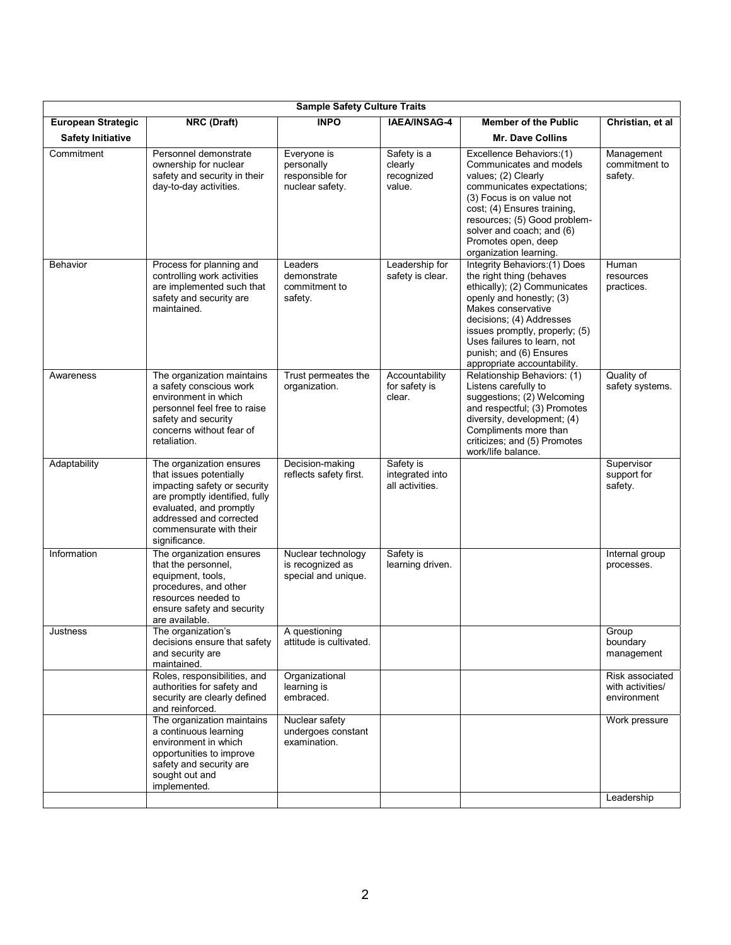| <b>Sample Safety Culture Traits</b> |                                                                                                                                                                                                                         |                                                                 |                                                 |                                                                                                                                                                                                                                                                                                    |                                                    |  |  |
|-------------------------------------|-------------------------------------------------------------------------------------------------------------------------------------------------------------------------------------------------------------------------|-----------------------------------------------------------------|-------------------------------------------------|----------------------------------------------------------------------------------------------------------------------------------------------------------------------------------------------------------------------------------------------------------------------------------------------------|----------------------------------------------------|--|--|
| <b>European Strategic</b>           | <b>NRC</b> (Draft)                                                                                                                                                                                                      | <b>INPO</b>                                                     | IAEA/INSAG-4                                    | <b>Member of the Public</b>                                                                                                                                                                                                                                                                        | Christian, et al                                   |  |  |
| <b>Safety Initiative</b>            |                                                                                                                                                                                                                         |                                                                 |                                                 | Mr. Dave Collins                                                                                                                                                                                                                                                                                   |                                                    |  |  |
| Commitment                          | Personnel demonstrate<br>ownership for nuclear<br>safety and security in their<br>day-to-day activities.                                                                                                                | Everyone is<br>personally<br>responsible for<br>nuclear safety. | Safety is a<br>clearly<br>recognized<br>value.  | Excellence Behaviors:(1)<br>Communicates and models<br>values; (2) Clearly<br>communicates expectations;<br>(3) Focus is on value not<br>cost; (4) Ensures training,<br>resources; (5) Good problem-<br>solver and coach; and (6)<br>Promotes open, deep<br>organization learning.                 | Management<br>commitment to<br>safety.             |  |  |
| <b>Behavior</b>                     | Process for planning and<br>controlling work activities<br>are implemented such that<br>safety and security are<br>maintained.                                                                                          | Leaders<br>demonstrate<br>commitment to<br>safety.              | Leadership for<br>safety is clear.              | Integrity Behaviors: (1) Does<br>the right thing (behaves<br>ethically); (2) Communicates<br>openly and honestly; (3)<br>Makes conservative<br>decisions; (4) Addresses<br>issues promptly, properly; (5)<br>Uses failures to learn, not<br>punish; and (6) Ensures<br>appropriate accountability. | Human<br>resources<br>practices.                   |  |  |
| Awareness                           | The organization maintains<br>a safety conscious work<br>environment in which<br>personnel feel free to raise<br>safety and security<br>concerns without fear of<br>retaliation.                                        | Trust permeates the<br>organization.                            | Accountability<br>for safety is<br>clear.       | Relationship Behaviors: (1)<br>Listens carefully to<br>suggestions; (2) Welcoming<br>and respectful; (3) Promotes<br>diversity, development; (4)<br>Compliments more than<br>criticizes; and (5) Promotes<br>work/life balance.                                                                    | Quality of<br>safety systems.                      |  |  |
| Adaptability                        | The organization ensures<br>that issues potentially<br>impacting safety or security<br>are promptly identified, fully<br>evaluated, and promptly<br>addressed and corrected<br>commensurate with their<br>significance. | Decision-making<br>reflects safety first.                       | Safety is<br>integrated into<br>all activities. |                                                                                                                                                                                                                                                                                                    | Supervisor<br>support for<br>safety.               |  |  |
| Information                         | The organization ensures<br>that the personnel,<br>equipment, tools,<br>procedures, and other<br>resources needed to<br>ensure safety and security<br>are available.                                                    | Nuclear technology<br>is recognized as<br>special and unique.   | Safety is<br>learning driven.                   |                                                                                                                                                                                                                                                                                                    | Internal group<br>processes.                       |  |  |
| Justness                            | The organization's<br>decisions ensure that safety<br>and security are<br>maintained.                                                                                                                                   | A questioning<br>attitude is cultivated.                        |                                                 |                                                                                                                                                                                                                                                                                                    | Group<br>boundary<br>management                    |  |  |
|                                     | Roles, responsibilities, and<br>authorities for safety and<br>security are clearly defined<br>and reinforced.                                                                                                           | Organizational<br>learning is<br>embraced.                      |                                                 |                                                                                                                                                                                                                                                                                                    | Risk associated<br>with activities/<br>environment |  |  |
|                                     | The organization maintains<br>a continuous learning<br>environment in which<br>opportunities to improve<br>safety and security are<br>sought out and<br>implemented.                                                    | Nuclear safety<br>undergoes constant<br>examination.            |                                                 |                                                                                                                                                                                                                                                                                                    | Work pressure<br>Leadership                        |  |  |
|                                     |                                                                                                                                                                                                                         |                                                                 |                                                 |                                                                                                                                                                                                                                                                                                    |                                                    |  |  |